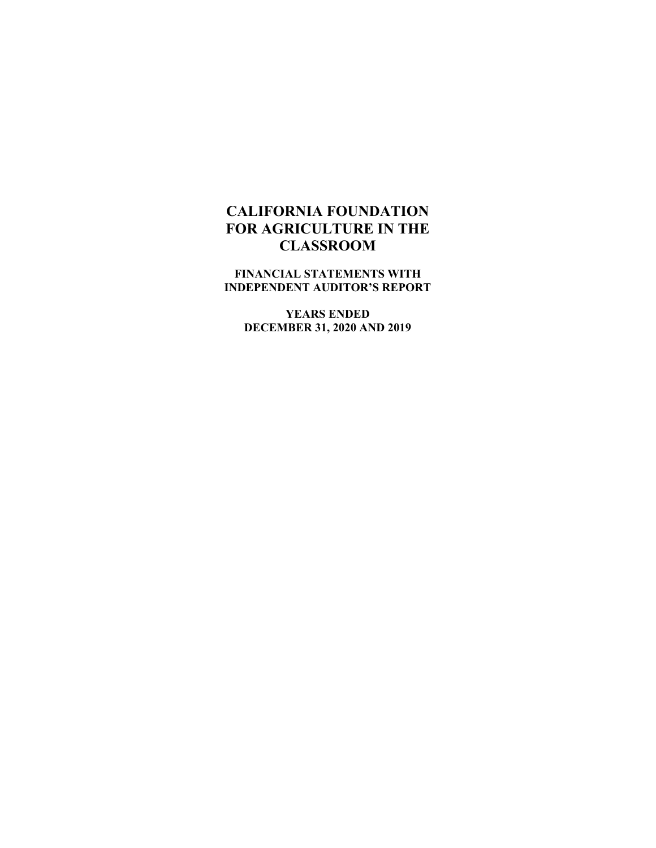**FINANCIAL STATEMENTS WITH INDEPENDENT AUDITOR'S REPORT** 

**YEARS ENDED DECEMBER 31, 2020 AND 2019**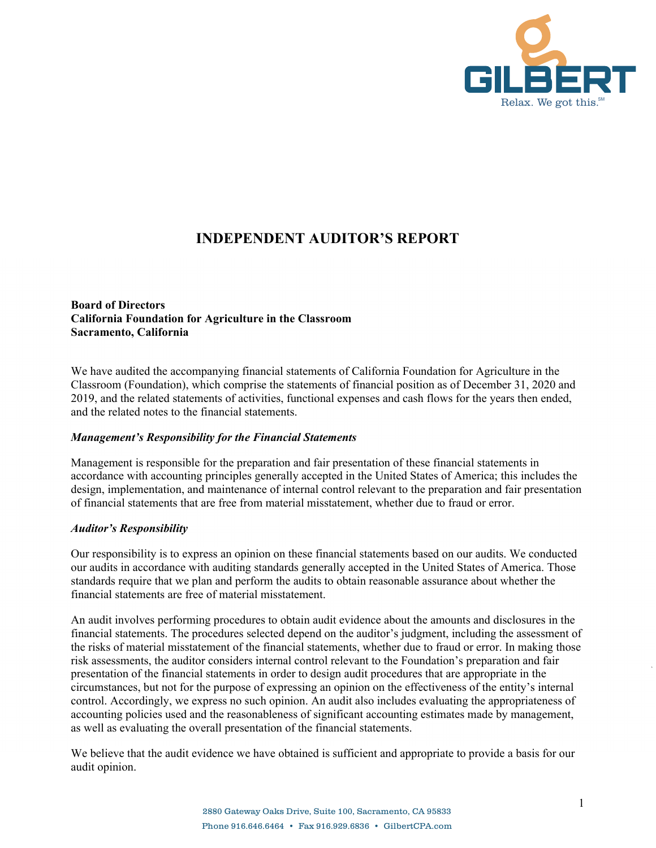

# **INDEPENDENT AUDITOR'S REPORT**

#### **Board of Directors California Foundation for Agriculture in the Classroom Sacramento, California**

We have audited the accompanying financial statements of California Foundation for Agriculture in the Classroom (Foundation), which comprise the statements of financial position as of December 31, 2020 and 2019, and the related statements of activities, functional expenses and cash flows for the years then ended, and the related notes to the financial statements.

#### *Management's Responsibility for the Financial Statements*

Management is responsible for the preparation and fair presentation of these financial statements in accordance with accounting principles generally accepted in the United States of America; this includes the design, implementation, and maintenance of internal control relevant to the preparation and fair presentation of financial statements that are free from material misstatement, whether due to fraud or error.

#### *Auditor's Responsibility*

Our responsibility is to express an opinion on these financial statements based on our audits. We conducted our audits in accordance with auditing standards generally accepted in the United States of America. Those standards require that we plan and perform the audits to obtain reasonable assurance about whether the financial statements are free of material misstatement.

An audit involves performing procedures to obtain audit evidence about the amounts and disclosures in the financial statements. The procedures selected depend on the auditor's judgment, including the assessment of the risks of material misstatement of the financial statements, whether due to fraud or error. In making those risk assessments, the auditor considers internal control relevant to the Foundation's preparation and fair presentation of the financial statements in order to design audit procedures that are appropriate in the circumstances, but not for the purpose of expressing an opinion on the effectiveness of the entity's internal control. Accordingly, we express no such opinion. An audit also includes evaluating the appropriateness of accounting policies used and the reasonableness of significant accounting estimates made by management, as well as evaluating the overall presentation of the financial statements.

We believe that the audit evidence we have obtained is sufficient and appropriate to provide a basis for our audit opinion.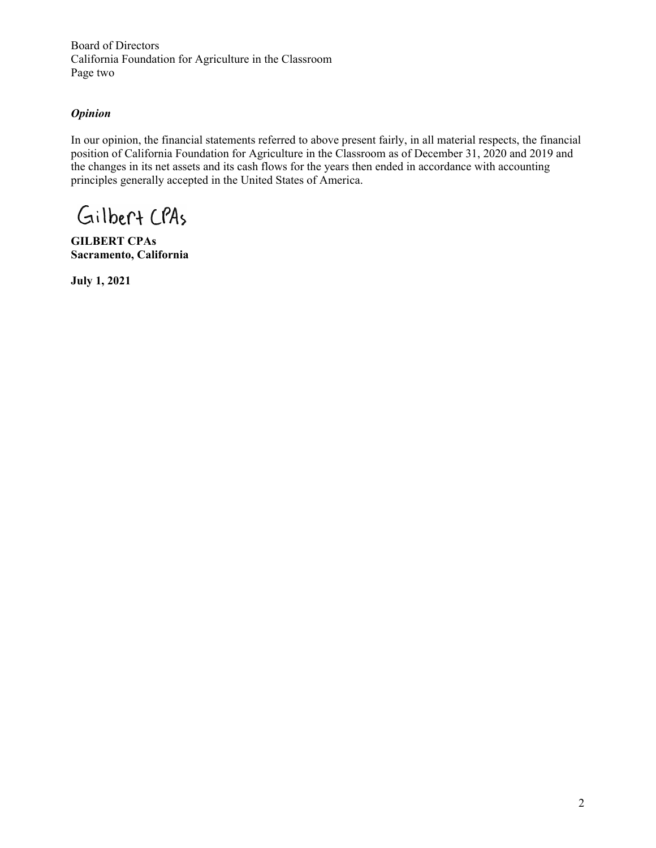Board of Directors California Foundation for Agriculture in the Classroom Page two

# *Opinion*

In our opinion, the financial statements referred to above present fairly, in all material respects, the financial position of California Foundation for Agriculture in the Classroom as of December 31, 2020 and 2019 and the changes in its net assets and its cash flows for the years then ended in accordance with accounting principles generally accepted in the United States of America.

Gilbert CPAs

**GILBERT CPAs Sacramento, California** 

**July 1, 2021**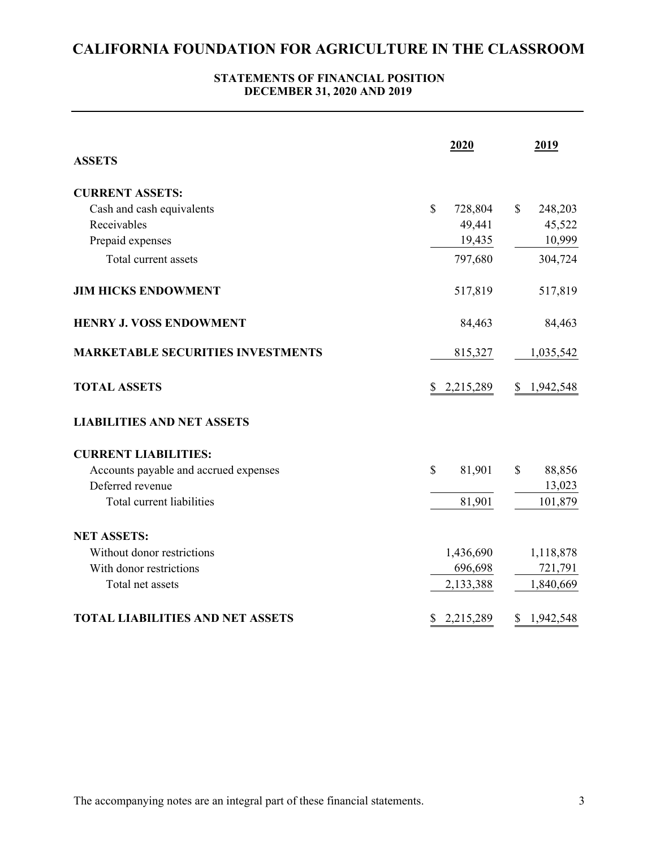## **STATEMENTS OF FINANCIAL POSITION DECEMBER 31, 2020 AND 2019**

|                                          | 2020                    | 2019                     |
|------------------------------------------|-------------------------|--------------------------|
| <b>ASSETS</b>                            |                         |                          |
| <b>CURRENT ASSETS:</b>                   |                         |                          |
| Cash and cash equivalents                | $\mathbb{S}$<br>728,804 | $\mathcal{S}$<br>248,203 |
| Receivables                              | 49,441                  | 45,522                   |
| Prepaid expenses                         | 19,435                  | 10,999                   |
| Total current assets                     | 797,680                 | 304,724                  |
| <b>JIM HICKS ENDOWMENT</b>               | 517,819                 | 517,819                  |
| <b>HENRY J. VOSS ENDOWMENT</b>           | 84,463                  | 84,463                   |
| <b>MARKETABLE SECURITIES INVESTMENTS</b> | 815,327                 | 1,035,542                |
| <b>TOTAL ASSETS</b>                      | \$2,215,289             | \$1,942,548              |
| <b>LIABILITIES AND NET ASSETS</b>        |                         |                          |
| <b>CURRENT LIABILITIES:</b>              |                         |                          |
| Accounts payable and accrued expenses    | $\mathbb{S}$<br>81,901  | 88,856<br>\$             |
| Deferred revenue                         |                         | 13,023                   |
| Total current liabilities                | 81,901                  | 101,879                  |
| <b>NET ASSETS:</b>                       |                         |                          |
| Without donor restrictions               | 1,436,690               | 1,118,878                |
| With donor restrictions                  | 696,698                 | 721,791                  |
| Total net assets                         | 2,133,388               | 1,840,669                |
| <b>TOTAL LIABILITIES AND NET ASSETS</b>  | 2,215,289<br>\$         | \$<br>1,942,548          |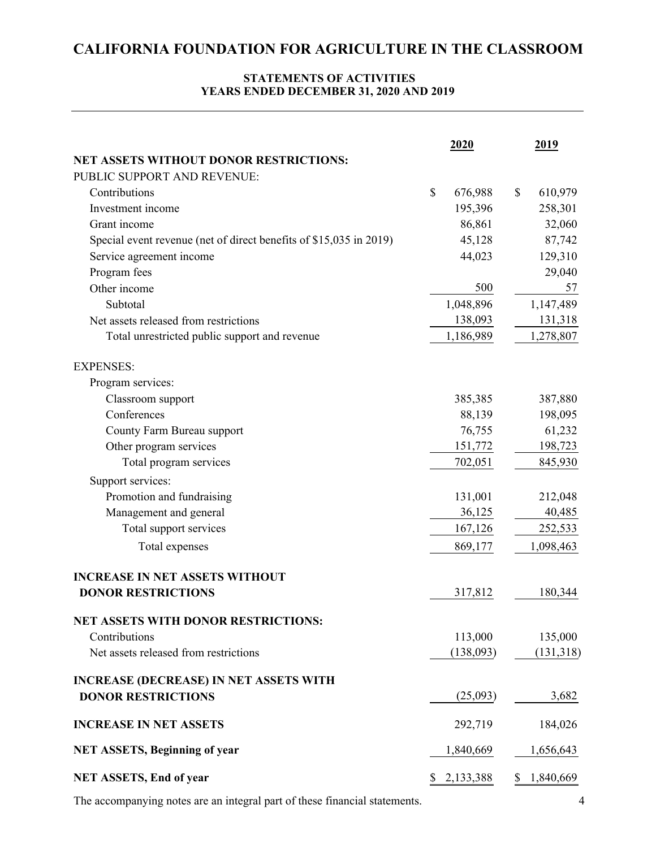# **STATEMENTS OF ACTIVITIES YEARS ENDED DECEMBER 31, 2020 AND 2019**

|                                                                    | 2020 |             | 2019          |
|--------------------------------------------------------------------|------|-------------|---------------|
| <b>NET ASSETS WITHOUT DONOR RESTRICTIONS:</b>                      |      |             |               |
| PUBLIC SUPPORT AND REVENUE:                                        |      |             |               |
| Contributions                                                      | \$   | 676,988     | \$<br>610,979 |
| Investment income                                                  |      | 195,396     | 258,301       |
| Grant income                                                       |      | 86,861      | 32,060        |
| Special event revenue (net of direct benefits of \$15,035 in 2019) |      | 45,128      | 87,742        |
| Service agreement income                                           |      | 44,023      | 129,310       |
| Program fees                                                       |      |             | 29,040        |
| Other income                                                       |      | 500         | 57            |
| Subtotal                                                           |      | 1,048,896   | 1,147,489     |
| Net assets released from restrictions                              |      | 138,093     | 131,318       |
| Total unrestricted public support and revenue                      |      | 1,186,989   | 1,278,807     |
| <b>EXPENSES:</b>                                                   |      |             |               |
| Program services:                                                  |      |             |               |
| Classroom support                                                  |      | 385,385     | 387,880       |
| Conferences                                                        |      | 88,139      | 198,095       |
| County Farm Bureau support                                         |      | 76,755      | 61,232        |
| Other program services                                             |      | 151,772     | 198,723       |
| Total program services                                             |      | 702,051     | 845,930       |
| Support services:                                                  |      |             |               |
| Promotion and fundraising                                          |      | 131,001     | 212,048       |
| Management and general                                             |      | 36,125      | 40,485        |
| Total support services                                             |      | 167,126     | 252,533       |
| Total expenses                                                     |      | 869,177     | 1,098,463     |
|                                                                    |      |             |               |
| <b>INCREASE IN NET ASSETS WITHOUT</b>                              |      |             |               |
| <b>DONOR RESTRICTIONS</b>                                          |      | 317,812     | 180,344       |
| <b>NET ASSETS WITH DONOR RESTRICTIONS:</b>                         |      |             |               |
| Contributions                                                      |      | 113,000     | 135,000       |
| Net assets released from restrictions                              |      | (138,093)   | (131, 318)    |
| <b>INCREASE (DECREASE) IN NET ASSETS WITH</b>                      |      |             |               |
| <b>DONOR RESTRICTIONS</b>                                          |      | (25,093)    | 3,682         |
| <b>INCREASE IN NET ASSETS</b>                                      |      | 292,719     | 184,026       |
| <b>NET ASSETS, Beginning of year</b>                               |      | 1,840,669   | 1,656,643     |
| <b>NET ASSETS, End of year</b>                                     |      | \$2,133,388 | \$1,840,669   |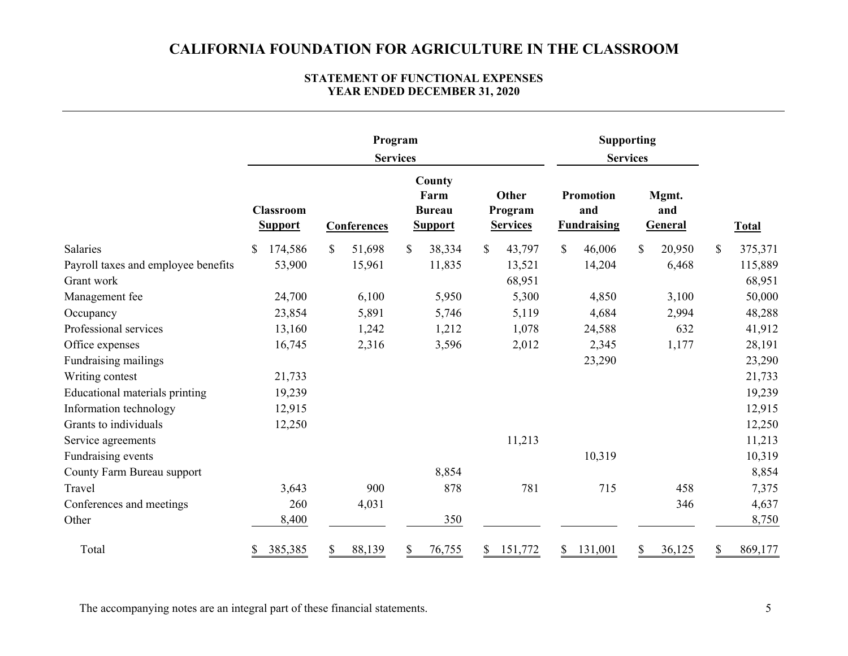#### **YEAR ENDED DECEMBER 31, 2020 STATEMENT OF FUNCTIONAL EXPENSES**

|                                     | Program<br><b>Services</b>         |              |                                                   | <b>Supporting</b><br><b>Services</b> |                                               |                         |               |
|-------------------------------------|------------------------------------|--------------|---------------------------------------------------|--------------------------------------|-----------------------------------------------|-------------------------|---------------|
|                                     | <b>Classroom</b><br><b>Support</b> | Conferences  | County<br>Farm<br><b>Bureau</b><br><b>Support</b> | Other<br>Program<br><b>Services</b>  | <b>Promotion</b><br>and<br><b>Fundraising</b> | Mgmt.<br>and<br>General | <b>Total</b>  |
| Salaries                            | 174,586<br>\$                      | \$<br>51,698 | \$<br>38,334                                      | 43,797<br>\$                         | $\mathbb{S}$<br>46,006                        | \$<br>20,950            | \$<br>375,371 |
| Payroll taxes and employee benefits | 53,900                             | 15,961       | 11,835                                            | 13,521                               | 14,204                                        | 6,468                   | 115,889       |
| Grant work                          |                                    |              |                                                   | 68,951                               |                                               |                         | 68,951        |
| Management fee                      | 24,700                             | 6,100        | 5,950                                             | 5,300                                | 4,850                                         | 3,100                   | 50,000        |
| Occupancy                           | 23,854                             | 5,891        | 5,746                                             | 5,119                                | 4,684                                         | 2,994                   | 48,288        |
| Professional services               | 13,160                             | 1,242        | 1,212                                             | 1,078                                | 24,588                                        | 632                     | 41,912        |
| Office expenses                     | 16,745                             | 2,316        | 3,596                                             | 2,012                                | 2,345                                         | 1,177                   | 28,191        |
| Fundraising mailings                |                                    |              |                                                   |                                      | 23,290                                        |                         | 23,290        |
| Writing contest                     | 21,733                             |              |                                                   |                                      |                                               |                         | 21,733        |
| Educational materials printing      | 19,239                             |              |                                                   |                                      |                                               |                         | 19,239        |
| Information technology              | 12,915                             |              |                                                   |                                      |                                               |                         | 12,915        |
| Grants to individuals               | 12,250                             |              |                                                   |                                      |                                               |                         | 12,250        |
| Service agreements                  |                                    |              |                                                   | 11,213                               |                                               |                         | 11,213        |
| Fundraising events                  |                                    |              |                                                   |                                      | 10,319                                        |                         | 10,319        |
| County Farm Bureau support          |                                    |              | 8,854                                             |                                      |                                               |                         | 8,854         |
| Travel                              | 3,643                              | 900          | 878                                               | 781                                  | 715                                           | 458                     | 7,375         |
| Conferences and meetings            | 260                                | 4,031        |                                                   |                                      |                                               | 346                     | 4,637         |
| Other                               | 8,400                              |              | 350                                               |                                      |                                               |                         | 8,750         |
| Total                               | 385,385                            | 88,139<br>\$ | 76,755<br>\$                                      | 151,772<br>S.                        | 131,001<br>\$                                 | \$<br>36,125            | \$<br>869,177 |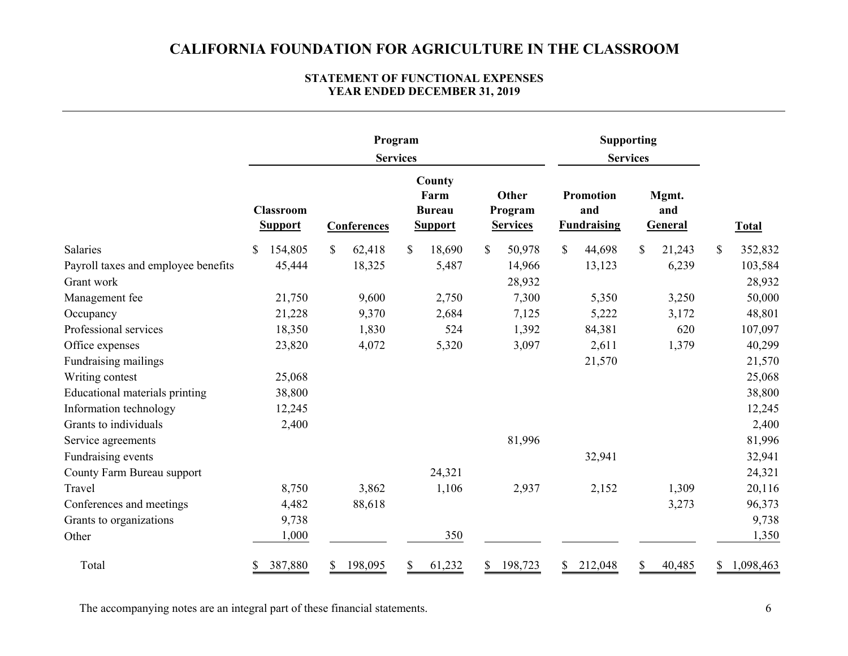#### **STATEMENT OF FUNCTIONAL EXPENSES YEAR ENDED DECEMBER 31, 2019**

|                                     | Program<br><b>Services</b>         |               |                                                   | Supporting<br><b>Services</b>       |                                               |                                |                         |
|-------------------------------------|------------------------------------|---------------|---------------------------------------------------|-------------------------------------|-----------------------------------------------|--------------------------------|-------------------------|
|                                     | <b>Classroom</b><br><b>Support</b> | Conferences   | County<br>Farm<br><b>Bureau</b><br><b>Support</b> | Other<br>Program<br><b>Services</b> | <b>Promotion</b><br>and<br><b>Fundraising</b> | Mgmt.<br>and<br><b>General</b> | <b>Total</b>            |
| <b>Salaries</b>                     | 154,805<br>\$                      | \$<br>62,418  | \$<br>18,690                                      | \$<br>50,978                        | $\mathbb{S}$<br>44,698                        | $\mathbb{S}$<br>21,243         | $\mathbb{S}$<br>352,832 |
| Payroll taxes and employee benefits | 45,444                             | 18,325        | 5,487                                             | 14,966                              | 13,123                                        | 6,239                          | 103,584                 |
| Grant work                          |                                    |               |                                                   | 28,932                              |                                               |                                | 28,932                  |
| Management fee                      | 21,750                             | 9,600         | 2,750                                             | 7,300                               | 5,350                                         | 3,250                          | 50,000                  |
| Occupancy                           | 21,228                             | 9,370         | 2,684                                             | 7,125                               | 5,222                                         | 3,172                          | 48,801                  |
| Professional services               | 18,350                             | 1,830         | 524                                               | 1,392                               | 84,381                                        | 620                            | 107,097                 |
| Office expenses                     | 23,820                             | 4,072         | 5,320                                             | 3,097                               | 2,611                                         | 1,379                          | 40,299                  |
| Fundraising mailings                |                                    |               |                                                   |                                     | 21,570                                        |                                | 21,570                  |
| Writing contest                     | 25,068                             |               |                                                   |                                     |                                               |                                | 25,068                  |
| Educational materials printing      | 38,800                             |               |                                                   |                                     |                                               |                                | 38,800                  |
| Information technology              | 12,245                             |               |                                                   |                                     |                                               |                                | 12,245                  |
| Grants to individuals               | 2,400                              |               |                                                   |                                     |                                               |                                | 2,400                   |
| Service agreements                  |                                    |               |                                                   | 81,996                              |                                               |                                | 81,996                  |
| Fundraising events                  |                                    |               |                                                   |                                     | 32,941                                        |                                | 32,941                  |
| County Farm Bureau support          |                                    |               | 24,321                                            |                                     |                                               |                                | 24,321                  |
| Travel                              | 8,750                              | 3,862         | 1,106                                             | 2,937                               | 2,152                                         | 1,309                          | 20,116                  |
| Conferences and meetings            | 4,482                              | 88,618        |                                                   |                                     |                                               | 3,273                          | 96,373                  |
| Grants to organizations             | 9,738                              |               |                                                   |                                     |                                               |                                | 9,738                   |
| Other                               | 1,000                              |               | 350                                               |                                     |                                               |                                | 1,350                   |
| Total                               | 387,880                            | 198,095<br>\$ | 61,232<br>S                                       | 198,723<br>S.                       | 212,048<br>S                                  | \$<br>40,485                   | 1,098,463<br>S.         |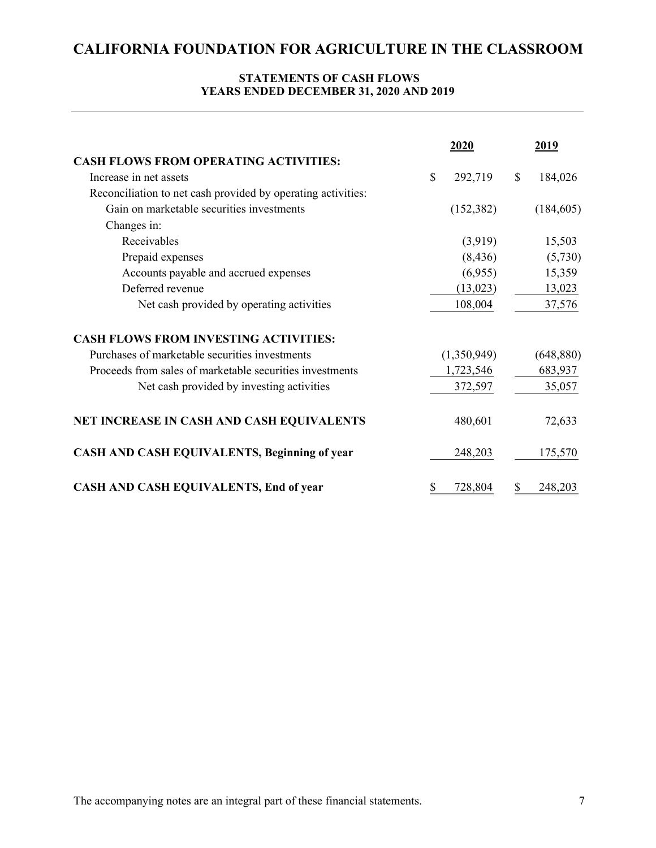# **STATEMENTS OF CASH FLOWS YEARS ENDED DECEMBER 31, 2020 AND 2019**

|                                                              | 2020          | <u>2019</u>             |
|--------------------------------------------------------------|---------------|-------------------------|
| <b>CASH FLOWS FROM OPERATING ACTIVITIES:</b>                 |               |                         |
| Increase in net assets                                       | 292,719<br>\$ | 184,026<br>$\mathbb{S}$ |
| Reconciliation to net cash provided by operating activities: |               |                         |
| Gain on marketable securities investments                    | (152, 382)    | (184, 605)              |
| Changes in:                                                  |               |                         |
| Receivables                                                  | (3,919)       | 15,503                  |
| Prepaid expenses                                             | (8, 436)      | (5,730)                 |
| Accounts payable and accrued expenses                        | (6,955)       | 15,359                  |
| Deferred revenue                                             | (13, 023)     | 13,023                  |
| Net cash provided by operating activities                    | 108,004       | 37,576                  |
| <b>CASH FLOWS FROM INVESTING ACTIVITIES:</b>                 |               |                         |
| Purchases of marketable securities investments               | (1,350,949)   | (648, 880)              |
| Proceeds from sales of marketable securities investments     | 1,723,546     | 683,937                 |
| Net cash provided by investing activities                    | 372,597       | 35,057                  |
| NET INCREASE IN CASH AND CASH EQUIVALENTS                    | 480,601       | 72,633                  |
| <b>CASH AND CASH EQUIVALENTS, Beginning of year</b>          | 248,203       | 175,570                 |
| CASH AND CASH EQUIVALENTS, End of year                       | 728,804<br>\$ | 248,203<br>S            |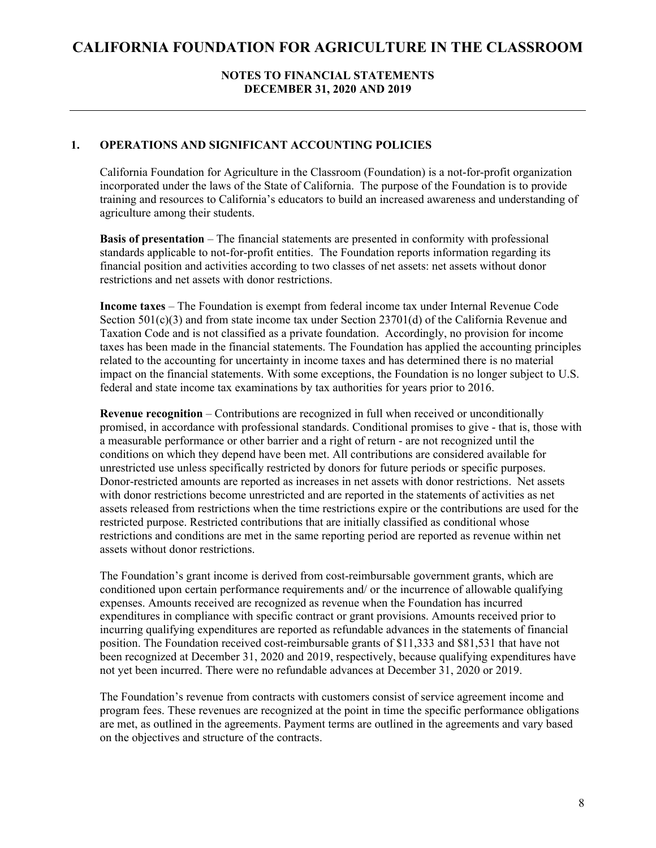#### **NOTES TO FINANCIAL STATEMENTS DECEMBER 31, 2020 AND 2019**

#### **1. OPERATIONS AND SIGNIFICANT ACCOUNTING POLICIES**

California Foundation for Agriculture in the Classroom (Foundation) is a not-for-profit organization incorporated under the laws of the State of California. The purpose of the Foundation is to provide training and resources to California's educators to build an increased awareness and understanding of agriculture among their students.

**Basis of presentation** – The financial statements are presented in conformity with professional standards applicable to not-for-profit entities. The Foundation reports information regarding its financial position and activities according to two classes of net assets: net assets without donor restrictions and net assets with donor restrictions.

**Income taxes** – The Foundation is exempt from federal income tax under Internal Revenue Code Section  $501(c)(3)$  and from state income tax under Section 23701(d) of the California Revenue and Taxation Code and is not classified as a private foundation. Accordingly, no provision for income taxes has been made in the financial statements. The Foundation has applied the accounting principles related to the accounting for uncertainty in income taxes and has determined there is no material impact on the financial statements. With some exceptions, the Foundation is no longer subject to U.S. federal and state income tax examinations by tax authorities for years prior to 2016.

**Revenue recognition** – Contributions are recognized in full when received or unconditionally promised, in accordance with professional standards. Conditional promises to give - that is, those with a measurable performance or other barrier and a right of return - are not recognized until the conditions on which they depend have been met. All contributions are considered available for unrestricted use unless specifically restricted by donors for future periods or specific purposes. Donor-restricted amounts are reported as increases in net assets with donor restrictions. Net assets with donor restrictions become unrestricted and are reported in the statements of activities as net assets released from restrictions when the time restrictions expire or the contributions are used for the restricted purpose. Restricted contributions that are initially classified as conditional whose restrictions and conditions are met in the same reporting period are reported as revenue within net assets without donor restrictions.

The Foundation's grant income is derived from cost-reimbursable government grants, which are conditioned upon certain performance requirements and/ or the incurrence of allowable qualifying expenses. Amounts received are recognized as revenue when the Foundation has incurred expenditures in compliance with specific contract or grant provisions. Amounts received prior to incurring qualifying expenditures are reported as refundable advances in the statements of financial position. The Foundation received cost-reimbursable grants of \$11,333 and \$81,531 that have not been recognized at December 31, 2020 and 2019, respectively, because qualifying expenditures have not yet been incurred. There were no refundable advances at December 31, 2020 or 2019.

The Foundation's revenue from contracts with customers consist of service agreement income and program fees. These revenues are recognized at the point in time the specific performance obligations are met, as outlined in the agreements. Payment terms are outlined in the agreements and vary based on the objectives and structure of the contracts.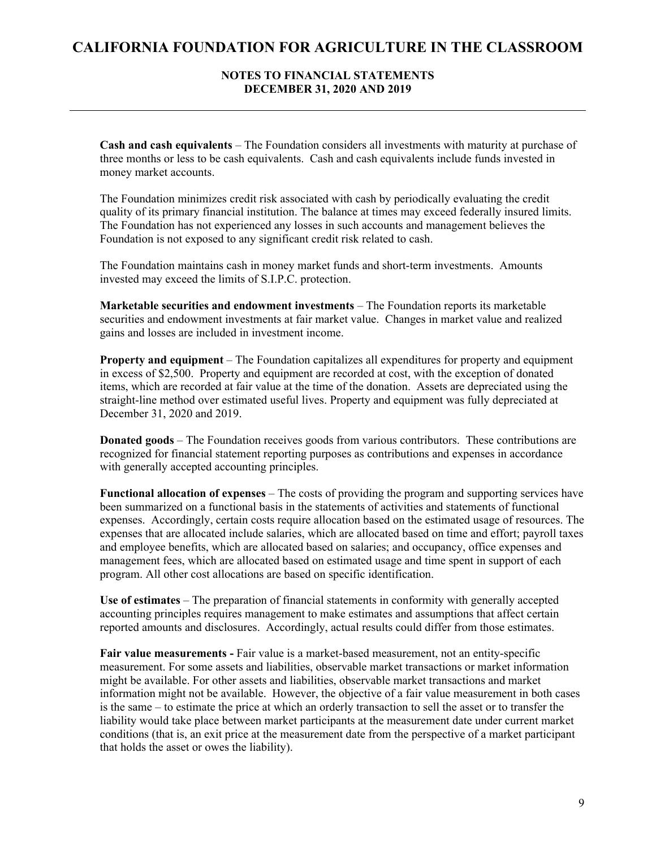#### **NOTES TO FINANCIAL STATEMENTS DECEMBER 31, 2020 AND 2019**

**Cash and cash equivalents** – The Foundation considers all investments with maturity at purchase of three months or less to be cash equivalents. Cash and cash equivalents include funds invested in money market accounts.

The Foundation minimizes credit risk associated with cash by periodically evaluating the credit quality of its primary financial institution. The balance at times may exceed federally insured limits. The Foundation has not experienced any losses in such accounts and management believes the Foundation is not exposed to any significant credit risk related to cash.

The Foundation maintains cash in money market funds and short-term investments. Amounts invested may exceed the limits of S.I.P.C. protection.

**Marketable securities and endowment investments** – The Foundation reports its marketable securities and endowment investments at fair market value. Changes in market value and realized gains and losses are included in investment income.

**Property and equipment** – The Foundation capitalizes all expenditures for property and equipment in excess of \$2,500. Property and equipment are recorded at cost, with the exception of donated items, which are recorded at fair value at the time of the donation. Assets are depreciated using the straight-line method over estimated useful lives. Property and equipment was fully depreciated at December 31, 2020 and 2019.

**Donated goods** – The Foundation receives goods from various contributors. These contributions are recognized for financial statement reporting purposes as contributions and expenses in accordance with generally accepted accounting principles.

**Functional allocation of expenses** – The costs of providing the program and supporting services have been summarized on a functional basis in the statements of activities and statements of functional expenses. Accordingly, certain costs require allocation based on the estimated usage of resources. The expenses that are allocated include salaries, which are allocated based on time and effort; payroll taxes and employee benefits, which are allocated based on salaries; and occupancy, office expenses and management fees, which are allocated based on estimated usage and time spent in support of each program. All other cost allocations are based on specific identification.

**Use of estimates** – The preparation of financial statements in conformity with generally accepted accounting principles requires management to make estimates and assumptions that affect certain reported amounts and disclosures. Accordingly, actual results could differ from those estimates.

**Fair value measurements -** Fair value is a market-based measurement, not an entity-specific measurement. For some assets and liabilities, observable market transactions or market information might be available. For other assets and liabilities, observable market transactions and market information might not be available. However, the objective of a fair value measurement in both cases is the same – to estimate the price at which an orderly transaction to sell the asset or to transfer the liability would take place between market participants at the measurement date under current market conditions (that is, an exit price at the measurement date from the perspective of a market participant that holds the asset or owes the liability).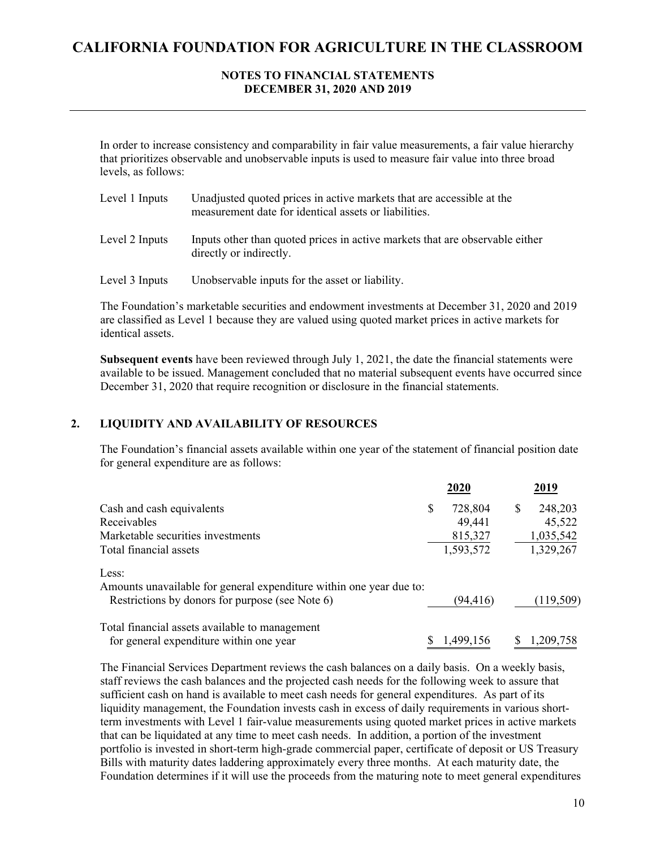## **NOTES TO FINANCIAL STATEMENTS DECEMBER 31, 2020 AND 2019**

In order to increase consistency and comparability in fair value measurements, a fair value hierarchy that prioritizes observable and unobservable inputs is used to measure fair value into three broad levels, as follows:

| Level 1 Inputs | Unadjusted quoted prices in active markets that are accessible at the<br>measurement date for identical assets or liabilities. |
|----------------|--------------------------------------------------------------------------------------------------------------------------------|
| Level 2 Inputs | Inputs other than quoted prices in active markets that are observable either<br>directly or indirectly.                        |
| Level 3 Inputs | Unobservable inputs for the asset or liability.                                                                                |

The Foundation's marketable securities and endowment investments at December 31, 2020 and 2019 are classified as Level 1 because they are valued using quoted market prices in active markets for identical assets.

**Subsequent events** have been reviewed through July 1, 2021, the date the financial statements were available to be issued. Management concluded that no material subsequent events have occurred since December 31, 2020 that require recognition or disclosure in the financial statements.

### **2. LIQUIDITY AND AVAILABILITY OF RESOURCES**

The Foundation's financial assets available within one year of the statement of financial position date for general expenditure are as follows:

|                                                                     |   | 2020      |   | 2019       |
|---------------------------------------------------------------------|---|-----------|---|------------|
| Cash and cash equivalents                                           | S | 728,804   | S | 248,203    |
| Receivables                                                         |   | 49,441    |   | 45,522     |
| Marketable securities investments                                   |   | 815,327   |   | 1,035,542  |
| Total financial assets                                              |   | 1,593,572 |   | 1,329,267  |
| Less:                                                               |   |           |   |            |
| Amounts unavailable for general expenditure within one year due to: |   |           |   |            |
| Restrictions by donors for purpose (see Note 6)                     |   | (94, 416) |   | (119, 509) |
| Total financial assets available to management                      |   |           |   |            |
| for general expenditure within one year                             |   | 1,499,156 | S | 1,209,758  |

The Financial Services Department reviews the cash balances on a daily basis. On a weekly basis, staff reviews the cash balances and the projected cash needs for the following week to assure that sufficient cash on hand is available to meet cash needs for general expenditures. As part of its liquidity management, the Foundation invests cash in excess of daily requirements in various shortterm investments with Level 1 fair-value measurements using quoted market prices in active markets that can be liquidated at any time to meet cash needs. In addition, a portion of the investment portfolio is invested in short-term high-grade commercial paper, certificate of deposit or US Treasury Bills with maturity dates laddering approximately every three months. At each maturity date, the Foundation determines if it will use the proceeds from the maturing note to meet general expenditures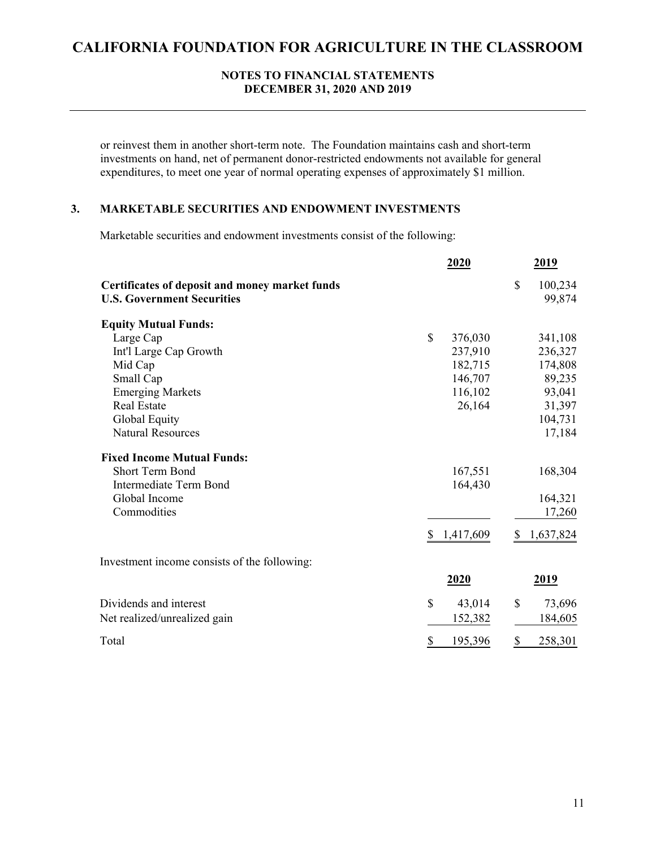#### **NOTES TO FINANCIAL STATEMENTS DECEMBER 31, 2020 AND 2019**

or reinvest them in another short-term note. The Foundation maintains cash and short-term investments on hand, net of permanent donor-restricted endowments not available for general expenditures, to meet one year of normal operating expenses of approximately \$1 million.

# **3. MARKETABLE SECURITIES AND ENDOWMENT INVESTMENTS**

Marketable securities and endowment investments consist of the following:

|                                                                                     | <u>2020</u>     | <u>2019</u>              |
|-------------------------------------------------------------------------------------|-----------------|--------------------------|
| Certificates of deposit and money market funds<br><b>U.S. Government Securities</b> |                 | \$<br>100,234<br>99,874  |
| <b>Equity Mutual Funds:</b>                                                         |                 |                          |
| Large Cap                                                                           | \$              | 376,030<br>341,108       |
| Int'l Large Cap Growth                                                              |                 | 237,910<br>236,327       |
| Mid Cap                                                                             |                 | 174,808<br>182,715       |
| Small Cap                                                                           |                 | 89,235<br>146,707        |
| <b>Emerging Markets</b>                                                             |                 | 116,102<br>93,041        |
| <b>Real Estate</b>                                                                  |                 | 26,164<br>31,397         |
| Global Equity                                                                       |                 | 104,731                  |
| <b>Natural Resources</b>                                                            |                 | 17,184                   |
| <b>Fixed Income Mutual Funds:</b>                                                   |                 |                          |
| <b>Short Term Bond</b>                                                              |                 | 167,551<br>168,304       |
| <b>Intermediate Term Bond</b>                                                       |                 | 164,430                  |
| Global Income                                                                       |                 | 164,321                  |
| Commodities                                                                         |                 | 17,260                   |
|                                                                                     | 1,417,609<br>\$ | \$<br>1,637,824          |
| Investment income consists of the following:                                        |                 |                          |
|                                                                                     | 2020            | 2019                     |
| Dividends and interest                                                              | $\mathbb{S}$    | 43,014<br>\$<br>73,696   |
| Net realized/unrealized gain                                                        |                 | 184,605<br>152,382       |
| Total                                                                               | $\frac{1}{2}$   | 195,396<br>258,301<br>\$ |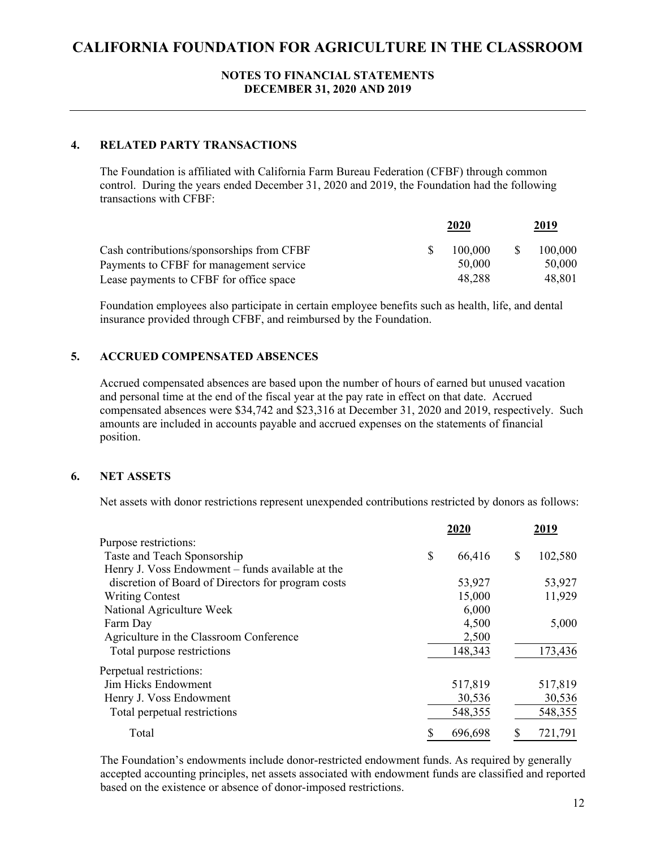#### **NOTES TO FINANCIAL STATEMENTS DECEMBER 31, 2020 AND 2019**

## **4. RELATED PARTY TRANSACTIONS**

The Foundation is affiliated with California Farm Bureau Federation (CFBF) through common control. During the years ended December 31, 2020 and 2019, the Foundation had the following transactions with CFBF:

|                                           | 2020    |  | 2019    |  |
|-------------------------------------------|---------|--|---------|--|
| Cash contributions/sponsorships from CFBF | 100,000 |  | 100,000 |  |
| Payments to CFBF for management service   | 50,000  |  | 50,000  |  |
| Lease payments to CFBF for office space   | 48.288  |  | 48.801  |  |

Foundation employees also participate in certain employee benefits such as health, life, and dental insurance provided through CFBF, and reimbursed by the Foundation.

### **5. ACCRUED COMPENSATED ABSENCES**

Accrued compensated absences are based upon the number of hours of earned but unused vacation and personal time at the end of the fiscal year at the pay rate in effect on that date. Accrued compensated absences were \$34,742 and \$23,316 at December 31, 2020 and 2019, respectively. Such amounts are included in accounts payable and accrued expenses on the statements of financial position.

### **6. NET ASSETS**

Net assets with donor restrictions represent unexpended contributions restricted by donors as follows:

|                                                    | 2020         | 2019          |
|----------------------------------------------------|--------------|---------------|
| Purpose restrictions:                              |              |               |
| Taste and Teach Sponsorship                        | \$<br>66,416 | \$<br>102,580 |
| Henry J. Voss Endowment – funds available at the   |              |               |
| discretion of Board of Directors for program costs | 53,927       | 53,927        |
| <b>Writing Contest</b>                             | 15,000       | 11,929        |
| National Agriculture Week                          | 6,000        |               |
| Farm Day                                           | 4,500        | 5,000         |
| Agriculture in the Classroom Conference            | 2,500        |               |
| Total purpose restrictions                         | 148,343      | 173,436       |
| Perpetual restrictions:                            |              |               |
| Jim Hicks Endowment                                | 517,819      | 517,819       |
| Henry J. Voss Endowment                            | 30,536       | 30,536        |
| Total perpetual restrictions                       | 548,355      | 548,355       |
| Total                                              | 696,698      | 721,791       |

The Foundation's endowments include donor-restricted endowment funds. As required by generally accepted accounting principles, net assets associated with endowment funds are classified and reported based on the existence or absence of donor-imposed restrictions.